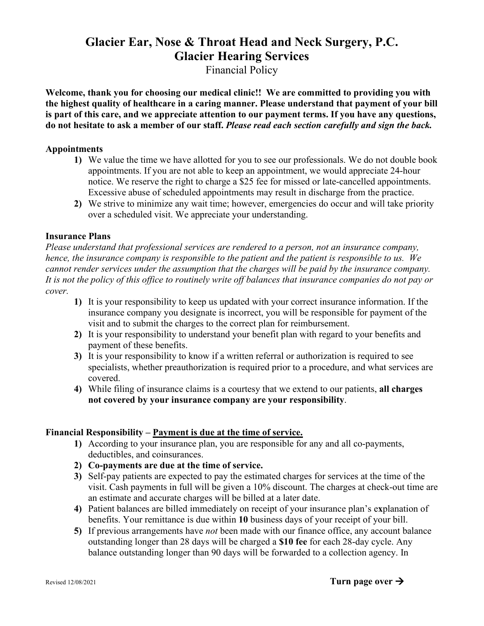# **Glacier Ear, Nose & Throat Head and Neck Surgery, P.C. Glacier Hearing Services**

Financial Policy

**Welcome, thank you for choosing our medical clinic!! We are committed to providing you with the highest quality of healthcare in a caring manner. Please understand that payment of your bill is part of this care, and we appreciate attention to our payment terms. If you have any questions, do not hesitate to ask a member of our staff.** *Please read each section carefully and sign the back.*

## **Appointments**

- **1)** We value the time we have allotted for you to see our professionals. We do not double book appointments. If you are not able to keep an appointment, we would appreciate 24-hour notice. We reserve the right to charge a \$25 fee for missed or late-cancelled appointments. Excessive abuse of scheduled appointments may result in discharge from the practice.
- **2)** We strive to minimize any wait time; however, emergencies do occur and will take priority over a scheduled visit. We appreciate your understanding.

### **Insurance Plans**

*Please understand that professional services are rendered to a person, not an insurance company, hence, the insurance company is responsible to the patient and the patient is responsible to us. We cannot render services under the assumption that the charges will be paid by the insurance company. It is not the policy of this office to routinely write off balances that insurance companies do not pay or cover.* 

- **1)** It is your responsibility to keep us updated with your correct insurance information. If the insurance company you designate is incorrect, you will be responsible for payment of the visit and to submit the charges to the correct plan for reimbursement.
- **2)** It is your responsibility to understand your benefit plan with regard to your benefits and payment of these benefits.
- **3)** It is your responsibility to know if a written referral or authorization is required to see specialists, whether preauthorization is required prior to a procedure, and what services are covered.
- **4)** While filing of insurance claims is a courtesy that we extend to our patients, **all charges not covered by your insurance company are your responsibility**.

# **Financial Responsibility – Payment is due at the time of service.**

- **1)** According to your insurance plan, you are responsible for any and all co-payments, deductibles, and coinsurances.
- **2) Co-payments are due at the time of service.**
- **3)** Self-pay patients are expected to pay the estimated charges for services at the time of the visit. Cash payments in full will be given a 10% discount. The charges at check-out time are an estimate and accurate charges will be billed at a later date.
- **4)** Patient balances are billed immediately on receipt of your insurance plan's e**x**planation of benefits. Your remittance is due within **10** business days of your receipt of your bill.
- **5)** If previous arrangements have *not* been made with our finance office, any account balance outstanding longer than 28 days will be charged a **\$10 fee** for each 28-day cycle. Any balance outstanding longer than 90 days will be forwarded to a collection agency. In